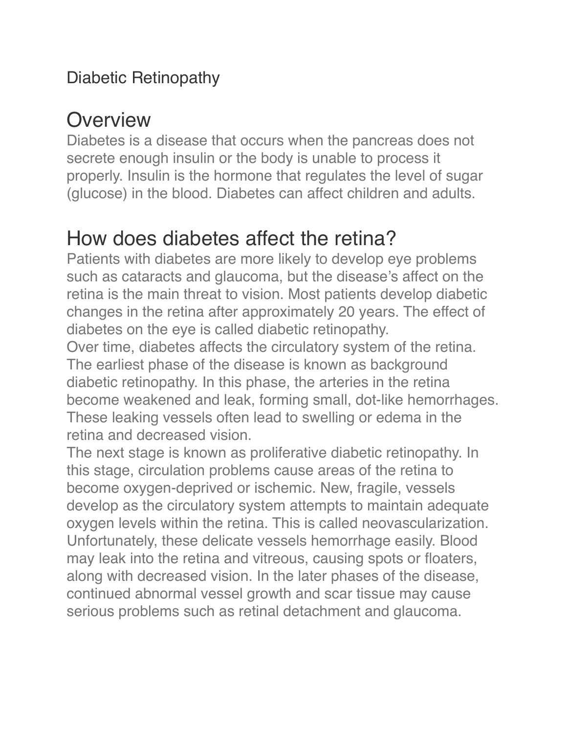#### Diabetic Retinopathy

## **Overview**

Diabetes is a disease that occurs when the pancreas does not secrete enough insulin or the body is unable to process it properly. Insulin is the hormone that regulates the level of sugar (glucose) in the blood. Diabetes can affect children and adults.

### How does diabetes affect the retina?

Patients with diabetes are more likely to develop eye problems such as cataracts and glaucoma, but the disease's affect on the retina is the main threat to vision. Most patients develop diabetic changes in the retina after approximately 20 years. The effect of diabetes on the eye is called diabetic retinopathy.

Over time, diabetes affects the circulatory system of the retina. The earliest phase of the disease is known as background diabetic retinopathy. In this phase, the arteries in the retina become weakened and leak, forming small, dot-like hemorrhages. These leaking vessels often lead to swelling or edema in the retina and decreased vision.

The next stage is known as proliferative diabetic retinopathy. In this stage, circulation problems cause areas of the retina to become oxygen-deprived or ischemic. New, fragile, vessels develop as the circulatory system attempts to maintain adequate oxygen levels within the retina. This is called neovascularization. Unfortunately, these delicate vessels hemorrhage easily. Blood may leak into the retina and vitreous, causing spots or floaters, along with decreased vision. In the later phases of the disease, continued abnormal vessel growth and scar tissue may cause serious problems such as retinal detachment and glaucoma.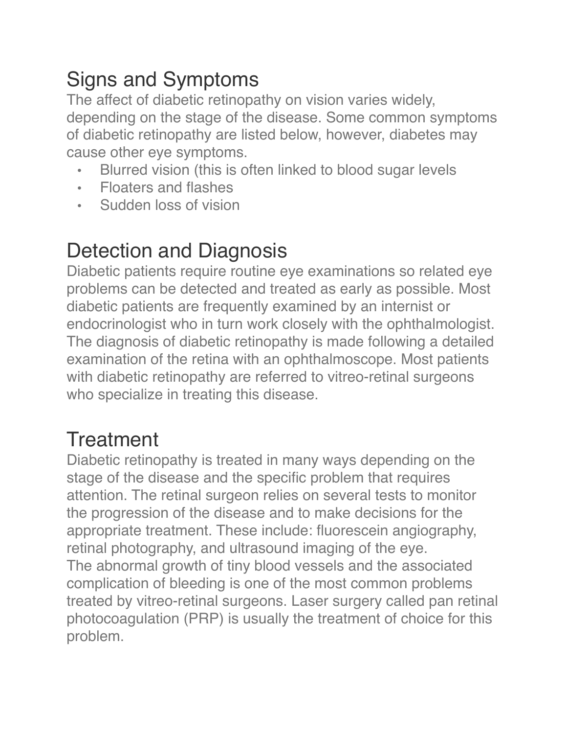# Signs and Symptoms

The affect of diabetic retinopathy on vision varies widely, depending on the stage of the disease. Some common symptoms of diabetic retinopathy are listed below, however, diabetes may cause other eye symptoms.

- Blurred vision (this is often linked to blood sugar levels
- Floaters and flashes
- Sudden loss of vision

### Detection and Diagnosis

Diabetic patients require routine eye examinations so related eye problems can be detected and treated as early as possible. Most diabetic patients are frequently examined by an internist or endocrinologist who in turn work closely with the ophthalmologist. The diagnosis of diabetic retinopathy is made following a detailed examination of the retina with an ophthalmoscope. Most patients with diabetic retinopathy are referred to vitreo-retinal surgeons who specialize in treating this disease.

## **Treatment**

Diabetic retinopathy is treated in many ways depending on the stage of the disease and the specific problem that requires attention. The retinal surgeon relies on several tests to monitor the progression of the disease and to make decisions for the appropriate treatment. These include: fluorescein angiography, retinal photography, and ultrasound imaging of the eye. The abnormal growth of tiny blood vessels and the associated complication of bleeding is one of the most common problems treated by vitreo-retinal surgeons. Laser surgery called pan retinal photocoagulation (PRP) is usually the treatment of choice for this problem.